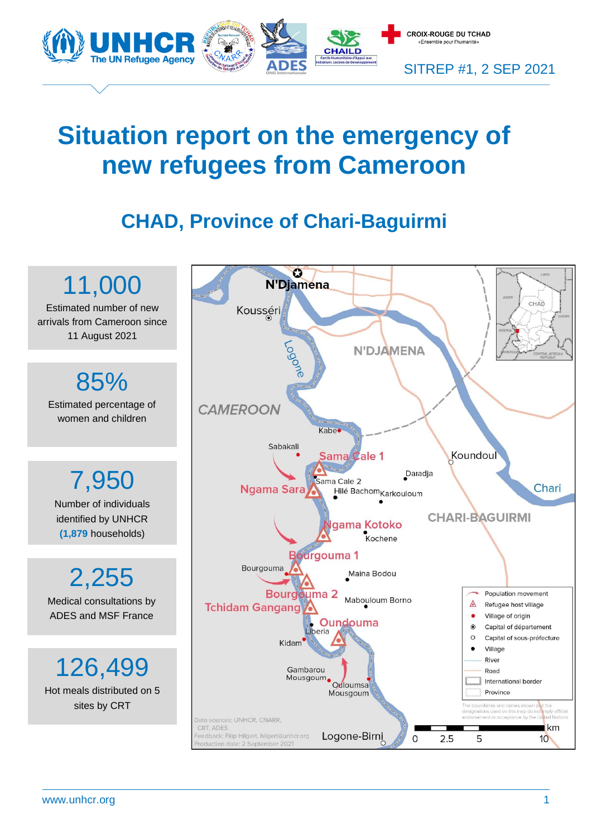

# **Situation report on the emergency of new refugees from Cameroon**

# **CHAD, Province of Chari-Baguirmi**



www.unhcr.org 1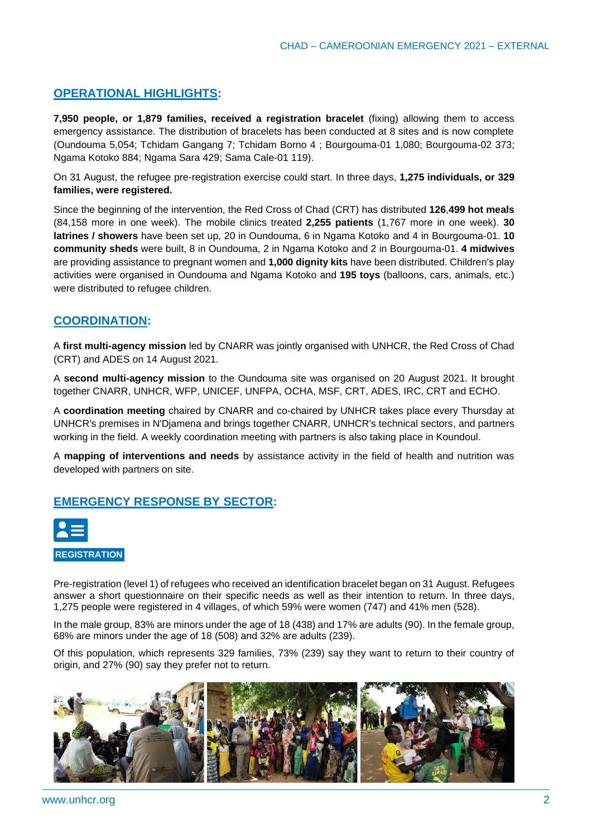# **OPERATIONAL HIGHLIGHTS:**

**7,950 people, or 1,879 families, received a registration bracelet** (fixing) allowing them to access emergency assistance. The distribution of bracelets has been conducted at 8 sites and is now complete (Oundouma 5,054; Tchidam Gangang 7; Tchidam Borno 4 ; Bourgouma-01 1,080; Bourgouma-02 373; Ngama Kotoko 884; Ngama Sara 429; Sama Cale-01 119).

On 31 August, the refugee pre-registration exercise could start. In three days, **1,275 individuals, or 329 families, were registered.**

Since the beginning of the intervention, the Red Cross of Chad (CRT) has distributed **126**,**499 hot meals** (84,158 more in one week). The mobile clinics treated **2,255 patients** (1,767 more in one week). **30 latrines / showers** have been set up, 20 in Oundouma, 6 in Ngama Kotoko and 4 in Bourgouma-01. **10 community sheds** were built, 8 in Oundouma, 2 in Ngama Kotoko and 2 in Bourgouma-01. **4 midwives** are providing assistance to pregnant women and **1,000 dignity kits** have been distributed. Children's play activities were organised in Oundouma and Ngama Kotoko and **195 toys** (balloons, cars, animals, etc.) were distributed to refugee children.

# **COORDINATION:**

A **first multi-agency mission** led by CNARR was jointly organised with UNHCR, the Red Cross of Chad (CRT) and ADES on 14 August 2021.

A **second multi-agency mission** to the Oundouma site was organised on 20 August 2021. It brought together CNARR, UNHCR, WFP, UNICEF, UNFPA, OCHA, MSF, CRT, ADES, IRC, CRT and ECHO.

A **coordination meeting** chaired by CNARR and co-chaired by UNHCR takes place every Thursday at UNHCR's premises in N'Djamena and brings together CNARR, UNHCR's technical sectors, and partners working in the field. A weekly coordination meeting with partners is also taking place in Koundoul.

A **mapping of interventions and needs** by assistance activity in the field of health and nutrition was developed with partners on site.

# **EMERGENCY RESPONSE BY SECTOR:**



#### **REGISTRATION**

Pre-registration (level 1) of refugees who received an identification bracelet began on 31 August. Refugees answer a short questionnaire on their specific needs as well as their intention to return. In three days, 1,275 people were registered in 4 villages, of which 59% were women (747) and 41% men (528).

In the male group, 83% are minors under the age of 18 (438) and 17% are adults (90). In the female group, 68% are minors under the age of 18 (508) and 32% are adults (239).

Of this population, which represents 329 families, 73% (239) say they want to return to their country of origin, and 27% (90) say they prefer not to return.

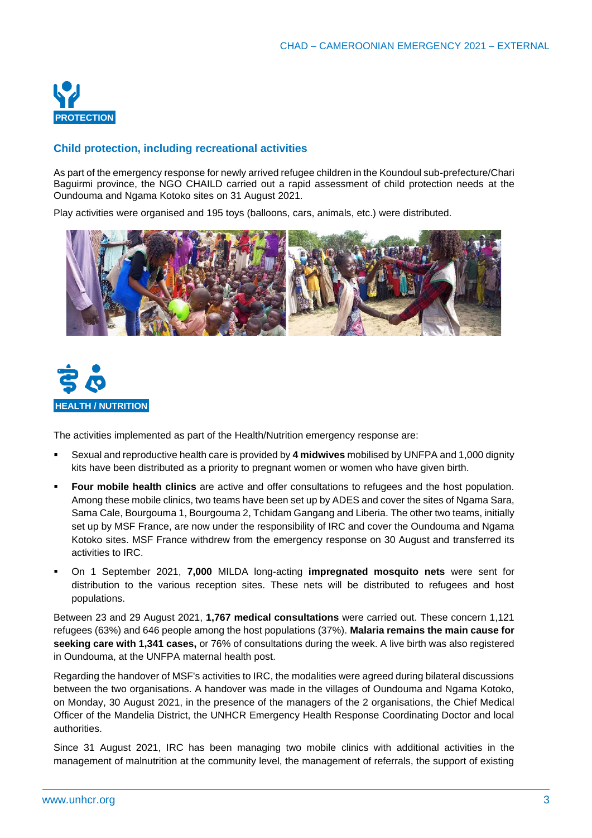

#### **Child protection, including recreational activities**

As part of the emergency response for newly arrived refugee children in the Koundoul sub-prefecture/Chari Baguirmi province, the NGO CHAILD carried out a rapid assessment of child protection needs at the Oundouma and Ngama Kotoko sites on 31 August 2021.

Play activities were organised and 195 toys (balloons, cars, animals, etc.) were distributed.





The activities implemented as part of the Health/Nutrition emergency response are:

- Sexual and reproductive health care is provided by 4 midwives mobilised by UNFPA and 1,000 dignity kits have been distributed as a priority to pregnant women or women who have given birth.
- **Four mobile health clinics** are active and offer consultations to refugees and the host population. Among these mobile clinics, two teams have been set up by ADES and cover the sites of Ngama Sara, Sama Cale, Bourgouma 1, Bourgouma 2, Tchidam Gangang and Liberia. The other two teams, initially set up by MSF France, are now under the responsibility of IRC and cover the Oundouma and Ngama Kotoko sites. MSF France withdrew from the emergency response on 30 August and transferred its activities to IRC.
- On 1 September 2021, **7,000** MILDA long-acting **impregnated mosquito nets** were sent for distribution to the various reception sites. These nets will be distributed to refugees and host populations.

Between 23 and 29 August 2021, **1,767 medical consultations** were carried out. These concern 1,121 refugees (63%) and 646 people among the host populations (37%). **Malaria remains the main cause for seeking care with 1,341 cases,** or 76% of consultations during the week. A live birth was also registered in Oundouma, at the UNFPA maternal health post.

Regarding the handover of MSF's activities to IRC, the modalities were agreed during bilateral discussions between the two organisations. A handover was made in the villages of Oundouma and Ngama Kotoko, on Monday, 30 August 2021, in the presence of the managers of the 2 organisations, the Chief Medical Officer of the Mandelia District, the UNHCR Emergency Health Response Coordinating Doctor and local authorities.

Since 31 August 2021, IRC has been managing two mobile clinics with additional activities in the management of malnutrition at the community level, the management of referrals, the support of existing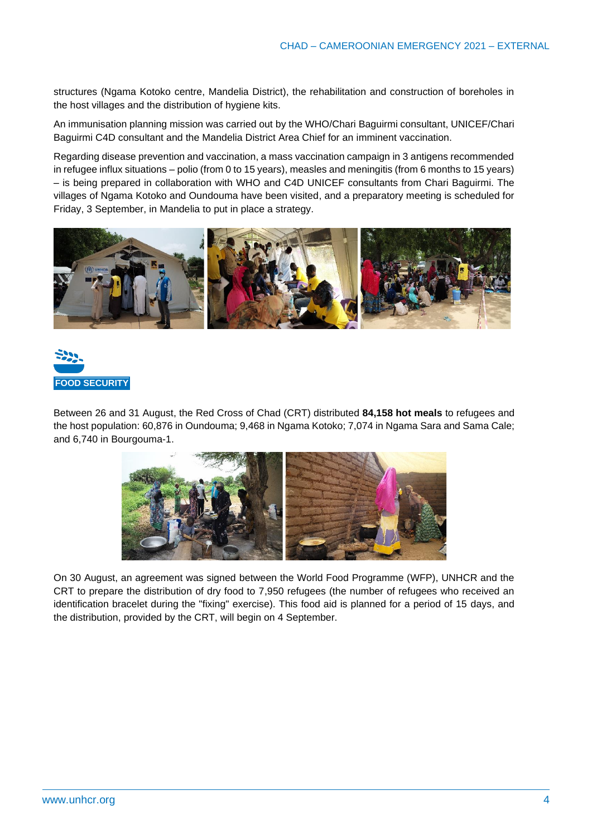structures (Ngama Kotoko centre, Mandelia District), the rehabilitation and construction of boreholes in the host villages and the distribution of hygiene kits.

An immunisation planning mission was carried out by the WHO/Chari Baguirmi consultant, UNICEF/Chari Baguirmi C4D consultant and the Mandelia District Area Chief for an imminent vaccination.

Regarding disease prevention and vaccination, a mass vaccination campaign in 3 antigens recommended in refugee influx situations – polio (from 0 to 15 years), measles and meningitis (from 6 months to 15 years) – is being prepared in collaboration with WHO and C4D UNICEF consultants from Chari Baguirmi. The villages of Ngama Kotoko and Oundouma have been visited, and a preparatory meeting is scheduled for Friday, 3 September, in Mandelia to put in place a strategy.





Between 26 and 31 August, the Red Cross of Chad (CRT) distributed **84,158 hot meals** to refugees and the host population: 60,876 in Oundouma; 9,468 in Ngama Kotoko; 7,074 in Ngama Sara and Sama Cale; and 6,740 in Bourgouma-1.



On 30 August, an agreement was signed between the World Food Programme (WFP), UNHCR and the CRT to prepare the distribution of dry food to 7,950 refugees (the number of refugees who received an identification bracelet during the "fixing" exercise). This food aid is planned for a period of 15 days, and the distribution, provided by the CRT, will begin on 4 September.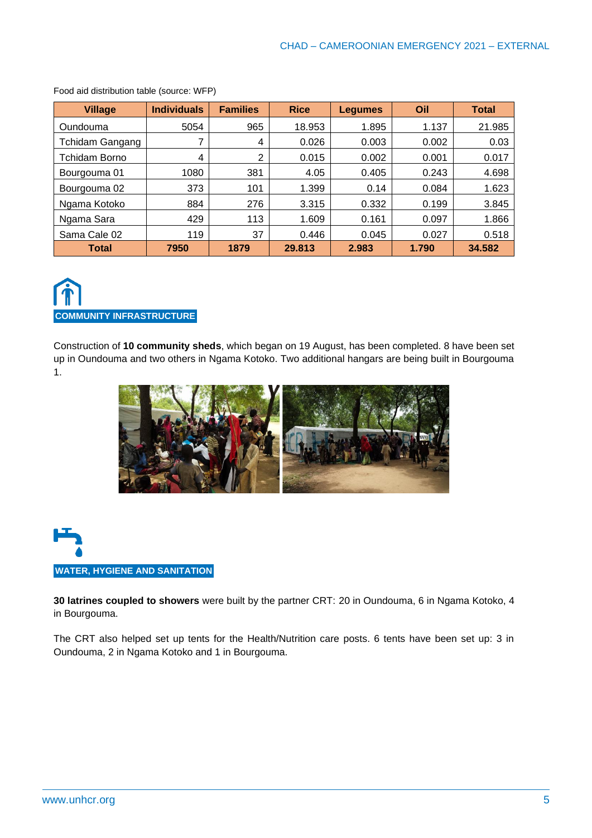| <b>Village</b>         | <b>Individuals</b> | <b>Families</b> | <b>Rice</b> | <b>Legumes</b> | Oil   | <b>Total</b> |
|------------------------|--------------------|-----------------|-------------|----------------|-------|--------------|
| Oundouma               | 5054               | 965             | 18.953      | 1.895          | 1.137 | 21.985       |
| <b>Tchidam Gangang</b> |                    | 4               | 0.026       | 0.003          | 0.002 | 0.03         |
| <b>Tchidam Borno</b>   | 4                  | 2               | 0.015       | 0.002          | 0.001 | 0.017        |
| Bourgouma 01           | 1080               | 381             | 4.05        | 0.405          | 0.243 | 4.698        |
| Bourgouma 02           | 373                | 101             | 1.399       | 0.14           | 0.084 | 1.623        |
| Ngama Kotoko           | 884                | 276             | 3.315       | 0.332          | 0.199 | 3.845        |
| Ngama Sara             | 429                | 113             | 1.609       | 0.161          | 0.097 | 1.866        |
| Sama Cale 02           | 119                | 37              | 0.446       | 0.045          | 0.027 | 0.518        |
| Total                  | 7950               | 1879            | 29.813      | 2.983          | 1.790 | 34.582       |

Food aid distribution table (source: WFP)



Construction of **10 community sheds**, which began on 19 August, has been completed. 8 have been set up in Oundouma and two others in Ngama Kotoko. Two additional hangars are being built in Bourgouma 1.





**30 latrines coupled to showers** were built by the partner CRT: 20 in Oundouma, 6 in Ngama Kotoko, 4 in Bourgouma.

The CRT also helped set up tents for the Health/Nutrition care posts. 6 tents have been set up: 3 in Oundouma, 2 in Ngama Kotoko and 1 in Bourgouma.